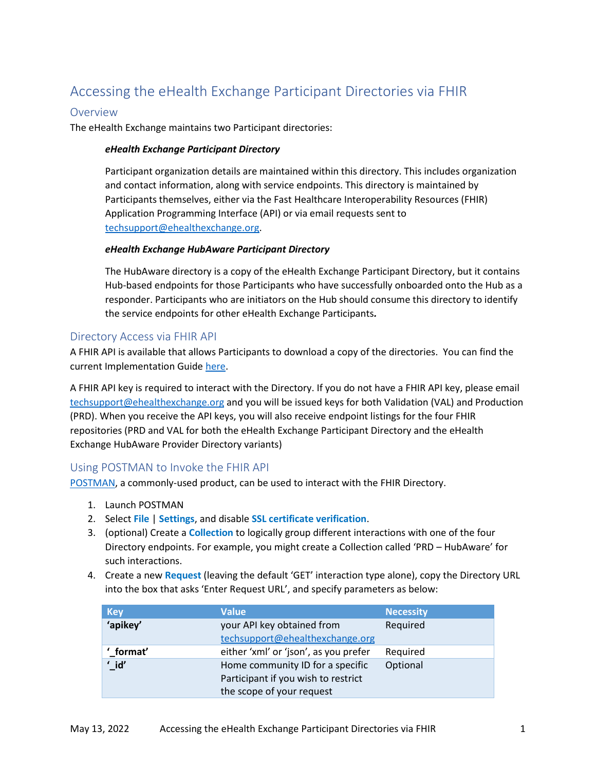# Accessing the eHealth Exchange Participant Directories via FHIR

## Overview

The eHealth Exchange maintains two Participant directories:

#### *eHealth Exchange Participant Directory*

Participant organization details are maintained within this directory. This includes organization and contact information, along with service endpoints. This directory is maintained by Participants themselves, either via the Fast Healthcare Interoperability Resources (FHIR) Application Programming Interface (API) or via email requests sent to [techsupport@ehealthexchange.org.](mailto:techsupport@ehealthexchange.org)

#### *eHealth Exchange HubAware Participant Directory*

The HubAware directory is a copy of the eHealth Exchange Participant Directory, but it contains Hub-based endpoints for those Participants who have successfully onboarded onto the Hub as a responder. Participants who are initiators on the Hub should consume this directory to identify the service endpoints for other eHealth Exchange Participants*.*

## Directory Access via FHIR API

A FHIR API is available that allows Participants to download a copy of the directories. You can find the current Implementation Guide [here.](https://ehealthexchange.org/2020-09-12-sequoia-fhir-ig/toc.html)

A FHIR API key is required to interact with the Directory. If you do not have a FHIR API key, please email [techsupport@ehealthexchange.org](mailto:techsupport@ehealthexchange.org) and you will be issued keys for both Validation (VAL) and Production (PRD). When you receive the API keys, you will also receive endpoint listings for the four FHIR repositories (PRD and VAL for both the eHealth Exchange Participant Directory and the eHealth Exchange HubAware Provider Directory variants)

### Using POSTMAN to Invoke the FHIR API

[POSTMAN,](https://www.postman.com/) a commonly-used product, can be used to interact with the FHIR Directory.

- 1. Launch POSTMAN
- 2. Select **File** | **Settings**, and disable **SSL certificate verification**.
- 3. (optional) Create a **Collection** to logically group different interactions with one of the four Directory endpoints. For example, you might create a Collection called 'PRD – HubAware' for such interactions.
- 4. Create a new **Request** (leaving the default 'GET' interaction type alone), copy the Directory URL into the box that asks 'Enter Request URL', and specify parameters as below:

| <b>Key</b>       | <b>Value</b>                          | <b>Necessity</b> |
|------------------|---------------------------------------|------------------|
| 'apikey'         | your API key obtained from            | Required         |
|                  | techsupport@ehealthexchange.org       |                  |
| ' format'        | either 'xml' or 'json', as you prefer | Required         |
| $^{\prime}$ _id' | Home community ID for a specific      | Optional         |
|                  | Participant if you wish to restrict   |                  |
|                  | the scope of your request             |                  |